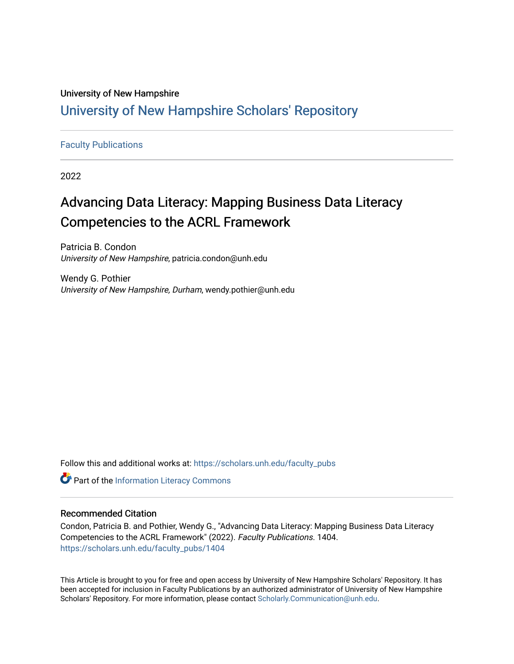# University of New Hampshire [University of New Hampshire Scholars' Repository](https://scholars.unh.edu/)

#### [Faculty Publications](https://scholars.unh.edu/faculty_pubs)

2022

# Advancing Data Literacy: Mapping Business Data Literacy Competencies to the ACRL Framework

Patricia B. Condon University of New Hampshire, patricia.condon@unh.edu

Wendy G. Pothier University of New Hampshire, Durham, wendy.pothier@unh.edu

Follow this and additional works at: [https://scholars.unh.edu/faculty\\_pubs](https://scholars.unh.edu/faculty_pubs?utm_source=scholars.unh.edu%2Ffaculty_pubs%2F1404&utm_medium=PDF&utm_campaign=PDFCoverPages) 

**Part of the [Information Literacy Commons](http://network.bepress.com/hgg/discipline/1243?utm_source=scholars.unh.edu%2Ffaculty_pubs%2F1404&utm_medium=PDF&utm_campaign=PDFCoverPages)** 

#### Recommended Citation

Condon, Patricia B. and Pothier, Wendy G., "Advancing Data Literacy: Mapping Business Data Literacy Competencies to the ACRL Framework" (2022). Faculty Publications. 1404. [https://scholars.unh.edu/faculty\\_pubs/1404](https://scholars.unh.edu/faculty_pubs/1404?utm_source=scholars.unh.edu%2Ffaculty_pubs%2F1404&utm_medium=PDF&utm_campaign=PDFCoverPages) 

This Article is brought to you for free and open access by University of New Hampshire Scholars' Repository. It has been accepted for inclusion in Faculty Publications by an authorized administrator of University of New Hampshire Scholars' Repository. For more information, please contact [Scholarly.Communication@unh.edu.](mailto:Scholarly.Communication@unh.edu)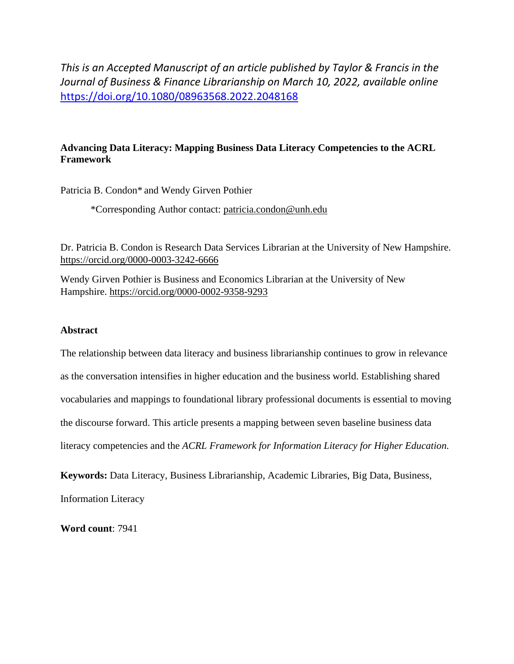*This is an Accepted Manuscript of an article published by Taylor & Francis in the Journal of Business & Finance Librarianship on March 10, 2022, available online*  <https://doi.org/10.1080/08963568.2022.2048168>

### **Advancing Data Literacy: Mapping Business Data Literacy Competencies to the ACRL Framework**

Patricia B. Condon\* and Wendy Girven Pothier

\*Corresponding Author contact: [patricia.condon@unh.edu](mailto:patricia.condon@unh.edu)

Dr. Patricia B. Condon is Research Data Services Librarian at the University of New Hampshire. <https://orcid.org/0000-0003-3242-6666>

Wendy Girven Pothier is Business and Economics Librarian at the University of New Hampshire.<https://orcid.org/0000-0002-9358-9293>

#### **Abstract**

The relationship between data literacy and business librarianship continues to grow in relevance as the conversation intensifies in higher education and the business world. Establishing shared vocabularies and mappings to foundational library professional documents is essential to moving the discourse forward. This article presents a mapping between seven baseline business data literacy competencies and the *ACRL Framework for Information Literacy for Higher Education.*

**Keywords:** Data Literacy, Business Librarianship, Academic Libraries, Big Data, Business,

Information Literacy

**Word count**: 7941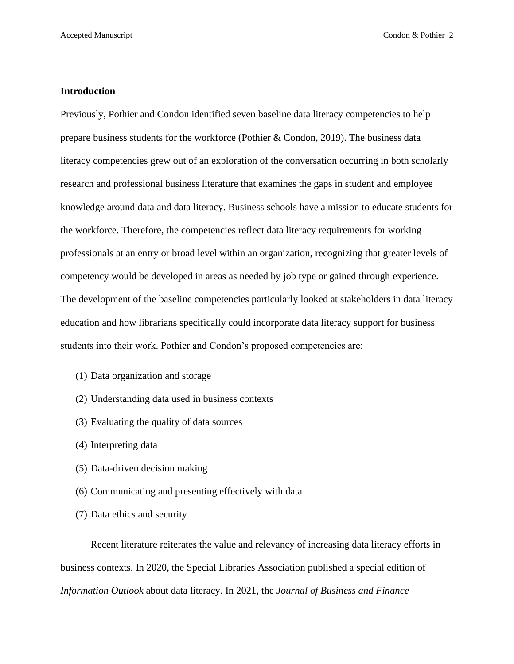#### **Introduction**

Previously, Pothier and Condon identified seven baseline data literacy competencies to help prepare business students for the workforce (Pothier & Condon, 2019). The business data literacy competencies grew out of an exploration of the conversation occurring in both scholarly research and professional business literature that examines the gaps in student and employee knowledge around data and data literacy. Business schools have a mission to educate students for the workforce. Therefore, the competencies reflect data literacy requirements for working professionals at an entry or broad level within an organization, recognizing that greater levels of competency would be developed in areas as needed by job type or gained through experience. The development of the baseline competencies particularly looked at stakeholders in data literacy education and how librarians specifically could incorporate data literacy support for business students into their work. Pothier and Condon's proposed competencies are:

- (1) Data organization and storage
- (2) Understanding data used in business contexts
- (3) Evaluating the quality of data sources
- (4) Interpreting data
- (5) Data-driven decision making
- (6) Communicating and presenting effectively with data
- (7) Data ethics and security

Recent literature reiterates the value and relevancy of increasing data literacy efforts in business contexts. In 2020, the Special Libraries Association published a special edition of *Information Outlook* about data literacy. In 2021, the *Journal of Business and Finance*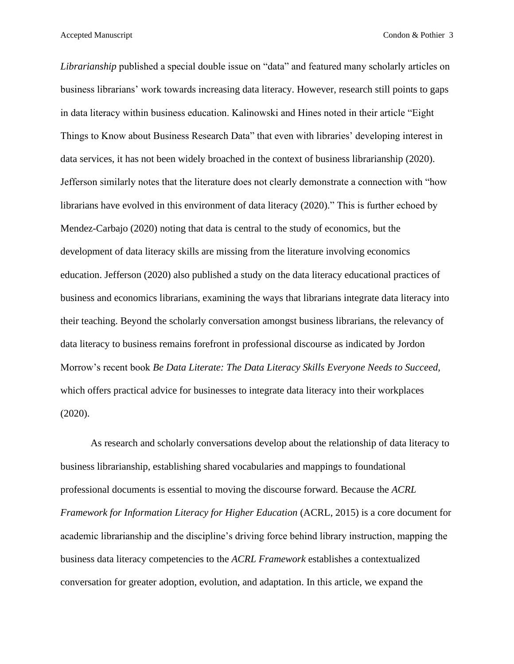*Librarianship* published a special double issue on "data" and featured many scholarly articles on business librarians' work towards increasing data literacy. However, research still points to gaps in data literacy within business education. Kalinowski and Hines noted in their article "Eight Things to Know about Business Research Data" that even with libraries' developing interest in data services, it has not been widely broached in the context of business librarianship (2020). Jefferson similarly notes that the literature does not clearly demonstrate a connection with "how librarians have evolved in this environment of data literacy (2020)." This is further echoed by Mendez-Carbajo (2020) noting that data is central to the study of economics, but the development of data literacy skills are missing from the literature involving economics education. Jefferson (2020) also published a study on the data literacy educational practices of business and economics librarians, examining the ways that librarians integrate data literacy into their teaching. Beyond the scholarly conversation amongst business librarians, the relevancy of data literacy to business remains forefront in professional discourse as indicated by Jordon Morrow's recent book *Be Data Literate: The Data Literacy Skills Everyone Needs to Succeed,* which offers practical advice for businesses to integrate data literacy into their workplaces (2020).

As research and scholarly conversations develop about the relationship of data literacy to business librarianship, establishing shared vocabularies and mappings to foundational professional documents is essential to moving the discourse forward. Because the *ACRL Framework for Information Literacy for Higher Education* (ACRL, 2015) is a core document for academic librarianship and the discipline's driving force behind library instruction, mapping the business data literacy competencies to the *ACRL Framework* establishes a contextualized conversation for greater adoption, evolution, and adaptation. In this article, we expand the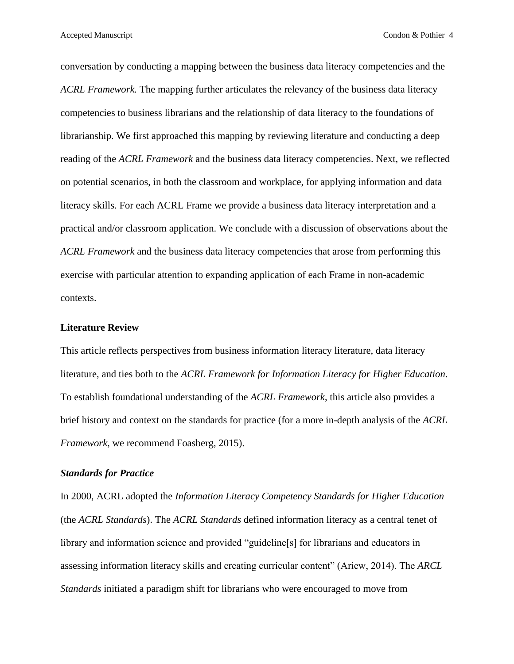conversation by conducting a mapping between the business data literacy competencies and the *ACRL Framework.* The mapping further articulates the relevancy of the business data literacy competencies to business librarians and the relationship of data literacy to the foundations of librarianship. We first approached this mapping by reviewing literature and conducting a deep reading of the *ACRL Framework* and the business data literacy competencies. Next, we reflected on potential scenarios, in both the classroom and workplace, for applying information and data literacy skills. For each ACRL Frame we provide a business data literacy interpretation and a practical and/or classroom application. We conclude with a discussion of observations about the *ACRL Framework* and the business data literacy competencies that arose from performing this exercise with particular attention to expanding application of each Frame in non-academic contexts.

#### **Literature Review**

This article reflects perspectives from business information literacy literature, data literacy literature, and ties both to the *ACRL Framework for Information Literacy for Higher Education*. To establish foundational understanding of the *ACRL Framework*, this article also provides a brief history and context on the standards for practice (for a more in-depth analysis of the *ACRL Framework*, we recommend Foasberg, 2015).

#### *Standards for Practice*

In 2000, ACRL adopted the *Information Literacy Competency Standards for Higher Education* (the *ACRL Standards*). The *ACRL Standards* defined information literacy as a central tenet of library and information science and provided "guideline[s] for librarians and educators in assessing information literacy skills and creating curricular content" (Ariew, 2014). The *ARCL Standards* initiated a paradigm shift for librarians who were encouraged to move from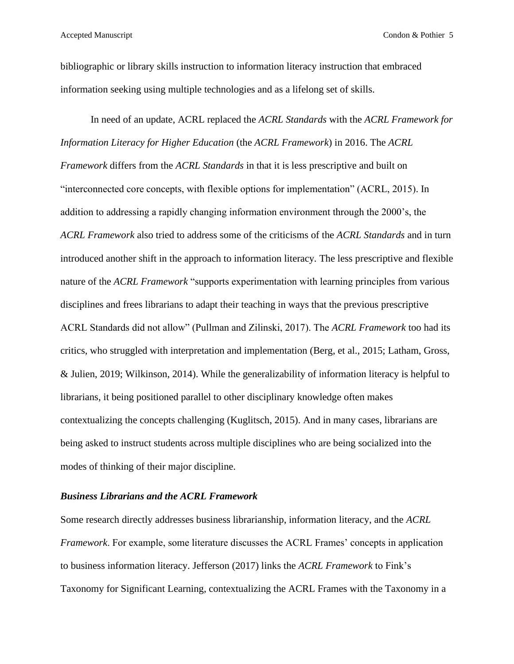bibliographic or library skills instruction to information literacy instruction that embraced information seeking using multiple technologies and as a lifelong set of skills.

In need of an update, ACRL replaced the *ACRL Standards* with the *ACRL Framework for Information Literacy for Higher Education* (the *ACRL Framework*) in 2016. The *ACRL Framework* differs from the *ACRL Standards* in that it is less prescriptive and built on "interconnected core concepts, with flexible options for implementation" (ACRL, 2015). In addition to addressing a rapidly changing information environment through the 2000's, the *ACRL Framework* also tried to address some of the criticisms of the *ACRL Standards* and in turn introduced another shift in the approach to information literacy*.* The less prescriptive and flexible nature of the *ACRL Framework* "supports experimentation with learning principles from various disciplines and frees librarians to adapt their teaching in ways that the previous prescriptive ACRL Standards did not allow" (Pullman and Zilinski, 2017). The *ACRL Framework* too had its critics, who struggled with interpretation and implementation (Berg, et al., 2015; Latham, Gross, & Julien, 2019; Wilkinson, 2014). While the generalizability of information literacy is helpful to librarians, it being positioned parallel to other disciplinary knowledge often makes contextualizing the concepts challenging (Kuglitsch, 2015). And in many cases, librarians are being asked to instruct students across multiple disciplines who are being socialized into the modes of thinking of their major discipline.

#### *Business Librarians and the ACRL Framework*

Some research directly addresses business librarianship, information literacy, and the *ACRL Framework*. For example, some literature discusses the ACRL Frames' concepts in application to business information literacy. Jefferson (2017) links the *ACRL Framework* to Fink's Taxonomy for Significant Learning, contextualizing the ACRL Frames with the Taxonomy in a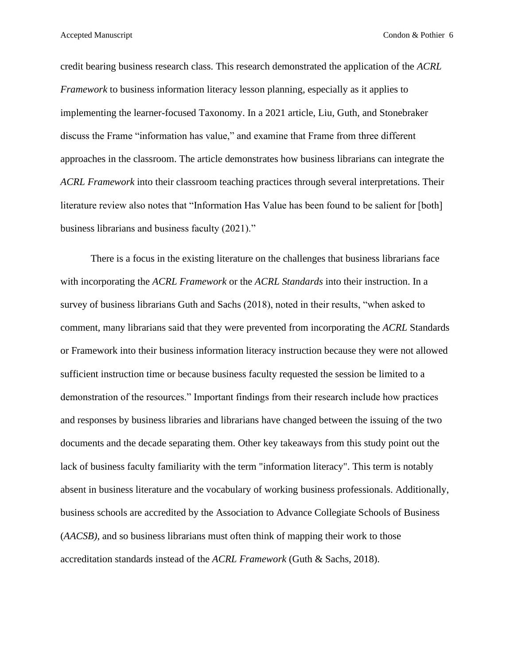Accepted Manuscript **Condon & Pothier 6** Condon & Pothier 6

credit bearing business research class. This research demonstrated the application of the *ACRL Framework* to business information literacy lesson planning, especially as it applies to implementing the learner-focused Taxonomy. In a 2021 article, Liu, Guth, and Stonebraker discuss the Frame "information has value," and examine that Frame from three different approaches in the classroom. The article demonstrates how business librarians can integrate the *ACRL Framework* into their classroom teaching practices through several interpretations. Their literature review also notes that "Information Has Value has been found to be salient for [both] business librarians and business faculty (2021)."

There is a focus in the existing literature on the challenges that business librarians face with incorporating the *ACRL Framework* or the *ACRL Standards* into their instruction. In a survey of business librarians Guth and Sachs (2018), noted in their results, "when asked to comment, many librarians said that they were prevented from incorporating the *ACRL* Standards or Framework into their business information literacy instruction because they were not allowed sufficient instruction time or because business faculty requested the session be limited to a demonstration of the resources." Important findings from their research include how practices and responses by business libraries and librarians have changed between the issuing of the two documents and the decade separating them. Other key takeaways from this study point out the lack of business faculty familiarity with the term "information literacy". This term is notably absent in business literature and the vocabulary of working business professionals. Additionally, business schools are accredited by the Association to Advance Collegiate Schools of Business (*AACSB)*, and so business librarians must often think of mapping their work to those accreditation standards instead of the *ACRL Framework* (Guth & Sachs, 2018).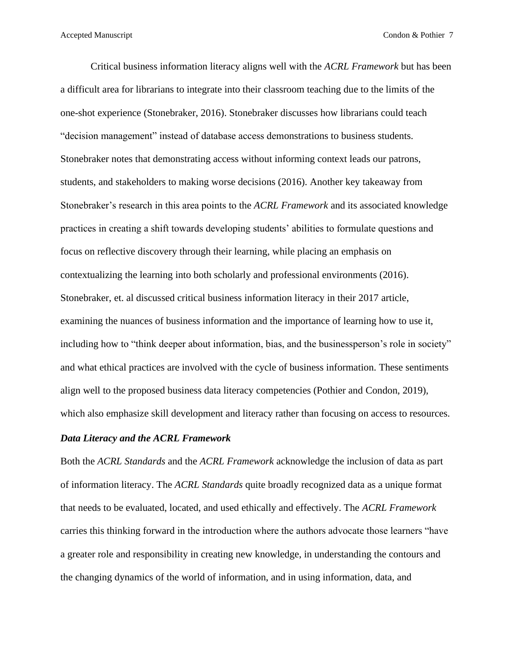Critical business information literacy aligns well with the *ACRL Framework* but has been a difficult area for librarians to integrate into their classroom teaching due to the limits of the one-shot experience (Stonebraker, 2016). Stonebraker discusses how librarians could teach "decision management" instead of database access demonstrations to business students. Stonebraker notes that demonstrating access without informing context leads our patrons, students, and stakeholders to making worse decisions (2016). Another key takeaway from Stonebraker's research in this area points to the *ACRL Framework* and its associated knowledge practices in creating a shift towards developing students' abilities to formulate questions and focus on reflective discovery through their learning, while placing an emphasis on contextualizing the learning into both scholarly and professional environments (2016). Stonebraker, et. al discussed critical business information literacy in their 2017 article, examining the nuances of business information and the importance of learning how to use it, including how to "think deeper about information, bias, and the businessperson's role in society" and what ethical practices are involved with the cycle of business information. These sentiments align well to the proposed business data literacy competencies (Pothier and Condon, 2019), which also emphasize skill development and literacy rather than focusing on access to resources.

### *Data Literacy and the ACRL Framework*

Both the *ACRL Standards* and the *ACRL Framework* acknowledge the inclusion of data as part of information literacy. The *ACRL Standards* quite broadly recognized data as a unique format that needs to be evaluated, located, and used ethically and effectively. The *ACRL Framework* carries this thinking forward in the introduction where the authors advocate those learners "have a greater role and responsibility in creating new knowledge, in understanding the contours and the changing dynamics of the world of information, and in using information, data, and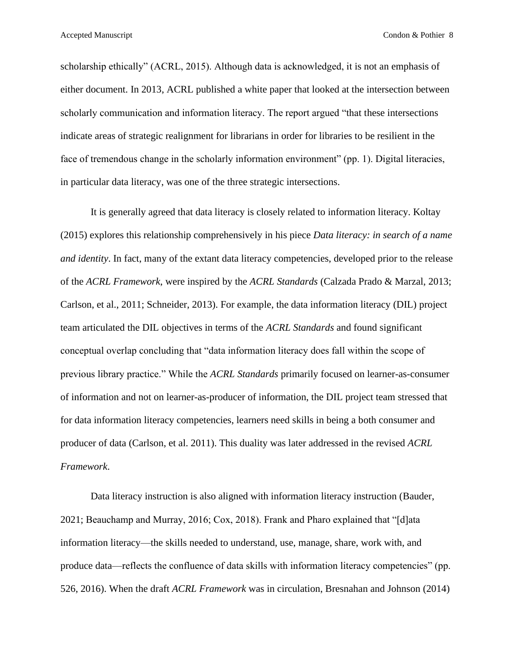scholarship ethically" (ACRL, 2015). Although data is acknowledged, it is not an emphasis of either document. In 2013, ACRL published a white paper that looked at the intersection between scholarly communication and information literacy. The report argued "that these intersections indicate areas of strategic realignment for librarians in order for libraries to be resilient in the face of tremendous change in the scholarly information environment" (pp. 1). Digital literacies, in particular data literacy, was one of the three strategic intersections.

It is generally agreed that data literacy is closely related to information literacy. Koltay (2015) explores this relationship comprehensively in his piece *Data literacy: in search of a name and identity*. In fact, many of the extant data literacy competencies, developed prior to the release of the *ACRL Framework*, were inspired by the *ACRL Standards* (Calzada Prado & Marzal, 2013; Carlson, et al., 2011; Schneider, 2013). For example, the data information literacy (DIL) project team articulated the DIL objectives in terms of the *ACRL Standards* and found significant conceptual overlap concluding that "data information literacy does fall within the scope of previous library practice." While the *ACRL Standards* primarily focused on learner-as-consumer of information and not on learner-as-producer of information, the DIL project team stressed that for data information literacy competencies, learners need skills in being a both consumer and producer of data (Carlson, et al. 2011). This duality was later addressed in the revised *ACRL Framework*.

Data literacy instruction is also aligned with information literacy instruction (Bauder, 2021; Beauchamp and Murray, 2016; Cox, 2018). Frank and Pharo explained that "[d]ata information literacy—the skills needed to understand, use, manage, share, work with, and produce data—reflects the confluence of data skills with information literacy competencies" (pp. 526, 2016). When the draft *ACRL Framework* was in circulation, Bresnahan and Johnson (2014)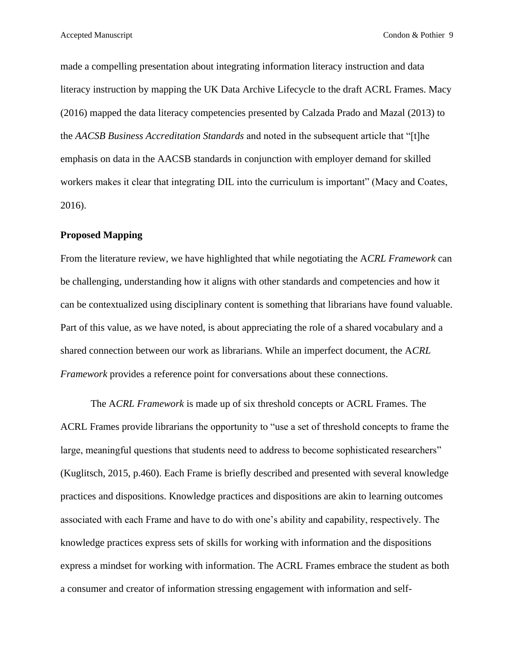made a compelling presentation about integrating information literacy instruction and data literacy instruction by mapping the UK Data Archive Lifecycle to the draft ACRL Frames. Macy (2016) mapped the data literacy competencies presented by Calzada Prado and Mazal (2013) to the *AACSB Business Accreditation Standards* and noted in the subsequent article that "[t]he emphasis on data in the AACSB standards in conjunction with employer demand for skilled workers makes it clear that integrating DIL into the curriculum is important" (Macy and Coates, 2016).

#### **Proposed Mapping**

From the literature review, we have highlighted that while negotiating the A*CRL Framework* can be challenging, understanding how it aligns with other standards and competencies and how it can be contextualized using disciplinary content is something that librarians have found valuable. Part of this value, as we have noted, is about appreciating the role of a shared vocabulary and a shared connection between our work as librarians. While an imperfect document, the A*CRL Framework* provides a reference point for conversations about these connections.

The A*CRL Framework* is made up of six threshold concepts or ACRL Frames. The ACRL Frames provide librarians the opportunity to "use a set of threshold concepts to frame the large, meaningful questions that students need to address to become sophisticated researchers" (Kuglitsch, 2015, p.460). Each Frame is briefly described and presented with several knowledge practices and dispositions. Knowledge practices and dispositions are akin to learning outcomes associated with each Frame and have to do with one's ability and capability, respectively. The knowledge practices express sets of skills for working with information and the dispositions express a mindset for working with information. The ACRL Frames embrace the student as both a consumer and creator of information stressing engagement with information and self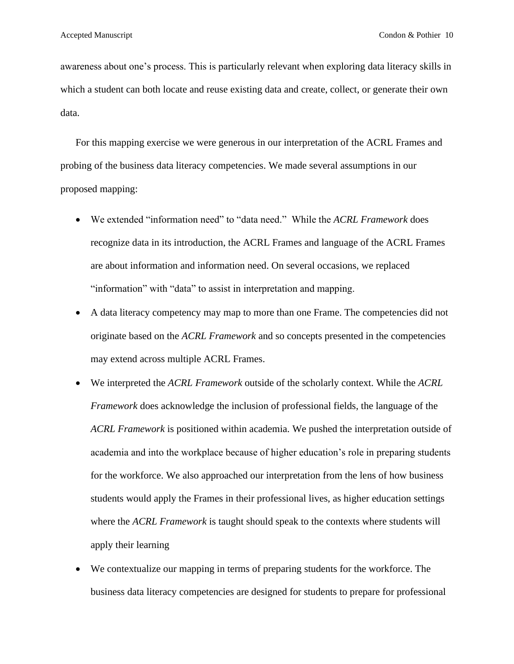awareness about one's process. This is particularly relevant when exploring data literacy skills in which a student can both locate and reuse existing data and create, collect, or generate their own data.

For this mapping exercise we were generous in our interpretation of the ACRL Frames and probing of the business data literacy competencies. We made several assumptions in our proposed mapping:

- We extended "information need" to "data need." While the *ACRL Framework* does recognize data in its introduction, the ACRL Frames and language of the ACRL Frames are about information and information need. On several occasions, we replaced "information" with "data" to assist in interpretation and mapping.
- A data literacy competency may map to more than one Frame. The competencies did not originate based on the *ACRL Framework* and so concepts presented in the competencies may extend across multiple ACRL Frames.
- We interpreted the *ACRL Framework* outside of the scholarly context. While the *ACRL Framework* does acknowledge the inclusion of professional fields, the language of the *ACRL Framework* is positioned within academia. We pushed the interpretation outside of academia and into the workplace because of higher education's role in preparing students for the workforce. We also approached our interpretation from the lens of how business students would apply the Frames in their professional lives, as higher education settings where the *ACRL Framework* is taught should speak to the contexts where students will apply their learning
- We contextualize our mapping in terms of preparing students for the workforce. The business data literacy competencies are designed for students to prepare for professional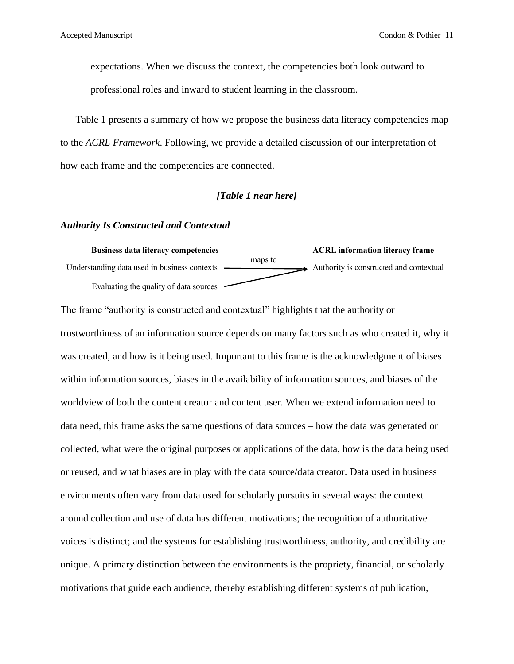expectations. When we discuss the context, the competencies both look outward to professional roles and inward to student learning in the classroom.

Table 1 presents a summary of how we propose the business data literacy competencies map to the *ACRL Framework*. Following, we provide a detailed discussion of our interpretation of how each frame and the competencies are connected.

#### *[Table 1 near here]*

#### *[Authority Is Constructed and Contextual](http://www.ala.org/acrl/standards/ilframework#authority)*



The frame "authority is constructed and contextual" highlights that the authority or trustworthiness of an information source depends on many factors such as who created it, why it was created, and how is it being used. Important to this frame is the acknowledgment of biases within information sources, biases in the availability of information sources, and biases of the worldview of both the content creator and content user. When we extend information need to data need, this frame asks the same questions of data sources – how the data was generated or collected, what were the original purposes or applications of the data, how is the data being used or reused, and what biases are in play with the data source/data creator. Data used in business environments often vary from data used for scholarly pursuits in several ways: the context around collection and use of data has different motivations; the recognition of authoritative voices is distinct; and the systems for establishing trustworthiness, authority, and credibility are unique. A primary distinction between the environments is the propriety, financial, or scholarly motivations that guide each audience, thereby establishing different systems of publication,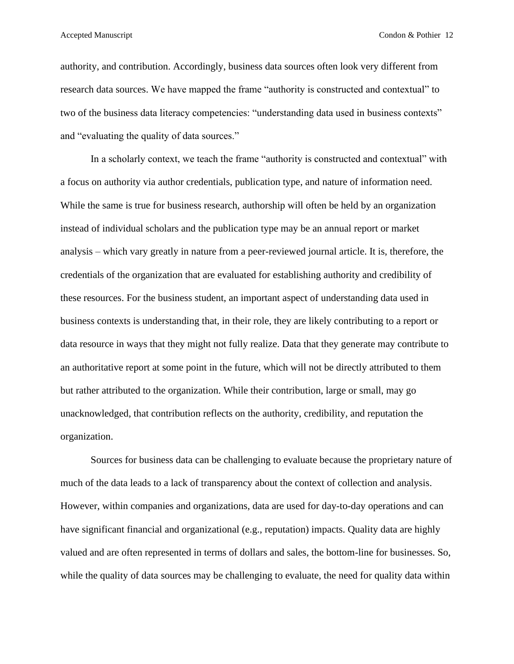authority, and contribution. Accordingly, business data sources often look very different from research data sources. We have mapped the frame "authority is constructed and contextual" to two of the business data literacy competencies: "understanding data used in business contexts" and "evaluating the quality of data sources."

In a scholarly context, we teach the frame "authority is constructed and contextual" with a focus on authority via author credentials, publication type, and nature of information need. While the same is true for business research, authorship will often be held by an organization instead of individual scholars and the publication type may be an annual report or market analysis – which vary greatly in nature from a peer-reviewed journal article. It is, therefore, the credentials of the organization that are evaluated for establishing authority and credibility of these resources. For the business student, an important aspect of understanding data used in business contexts is understanding that, in their role, they are likely contributing to a report or data resource in ways that they might not fully realize. Data that they generate may contribute to an authoritative report at some point in the future, which will not be directly attributed to them but rather attributed to the organization. While their contribution, large or small, may go unacknowledged, that contribution reflects on the authority, credibility, and reputation the organization.

Sources for business data can be challenging to evaluate because the proprietary nature of much of the data leads to a lack of transparency about the context of collection and analysis. However, within companies and organizations, data are used for day-to-day operations and can have significant financial and organizational (e.g., reputation) impacts. Quality data are highly valued and are often represented in terms of dollars and sales, the bottom-line for businesses. So, while the quality of data sources may be challenging to evaluate, the need for quality data within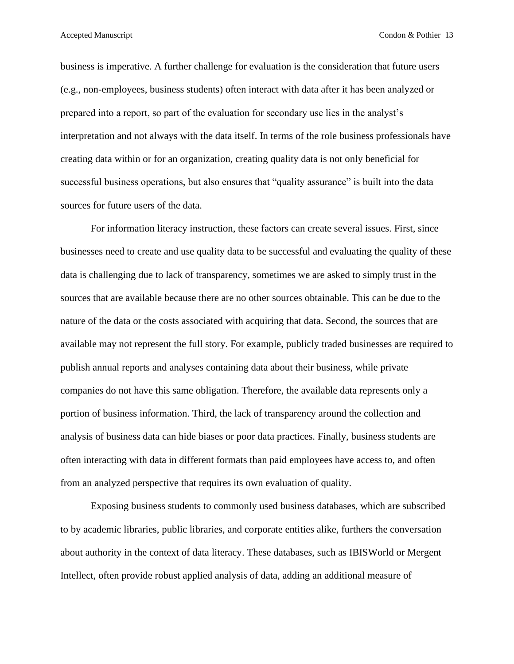business is imperative. A further challenge for evaluation is the consideration that future users (e.g., non-employees, business students) often interact with data after it has been analyzed or prepared into a report, so part of the evaluation for secondary use lies in the analyst's interpretation and not always with the data itself. In terms of the role business professionals have creating data within or for an organization, creating quality data is not only beneficial for successful business operations, but also ensures that "quality assurance" is built into the data sources for future users of the data.

For information literacy instruction, these factors can create several issues. First, since businesses need to create and use quality data to be successful and evaluating the quality of these data is challenging due to lack of transparency, sometimes we are asked to simply trust in the sources that are available because there are no other sources obtainable. This can be due to the nature of the data or the costs associated with acquiring that data. Second, the sources that are available may not represent the full story. For example, publicly traded businesses are required to publish annual reports and analyses containing data about their business, while private companies do not have this same obligation. Therefore, the available data represents only a portion of business information. Third, the lack of transparency around the collection and analysis of business data can hide biases or poor data practices. Finally, business students are often interacting with data in different formats than paid employees have access to, and often from an analyzed perspective that requires its own evaluation of quality.

Exposing business students to commonly used business databases, which are subscribed to by academic libraries, public libraries, and corporate entities alike, furthers the conversation about authority in the context of data literacy. These databases, such as IBISWorld or Mergent Intellect, often provide robust applied analysis of data, adding an additional measure of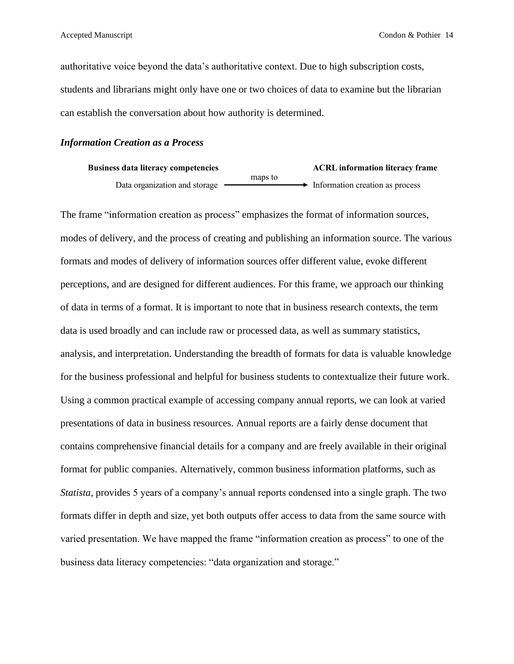authoritative voice beyond the data's authoritative context. Due to high subscription costs, students and librarians might only have one or two choices of data to examine but the librarian can establish the conversation about how authority is determined.

#### *[Information Creation as a Process](http://www.ala.org/acrl/standards/ilframework#process)*

| <b>Business data literacy competencies</b> | <b>ACRL</b> information literacy frame |                                               |
|--------------------------------------------|----------------------------------------|-----------------------------------------------|
|                                            | maps to                                |                                               |
| Data organization and storage              |                                        | $\rightarrow$ Information creation as process |

The frame "information creation as process" emphasizes the format of information sources, modes of delivery, and the process of creating and publishing an information source. The various formats and modes of delivery of information sources offer different value, evoke different perceptions, and are designed for different audiences. For this frame, we approach our thinking of data in terms of a format. It is important to note that in business research contexts, the term data is used broadly and can include raw or processed data, as well as summary statistics, analysis, and interpretation. Understanding the breadth of formats for data is valuable knowledge for the business professional and helpful for business students to contextualize their future work. Using a common practical example of accessing company annual reports, we can look at varied presentations of data in business resources. Annual reports are a fairly dense document that contains comprehensive financial details for a company and are freely available in their original format for public companies. Alternatively, common business information platforms, such as *Statista,* provides 5 years of a company's annual reports condensed into a single graph. The two formats differ in depth and size, yet both outputs offer access to data from the same source with varied presentation. We have mapped the frame "information creation as process" to one of the business data literacy competencies: "data organization and storage."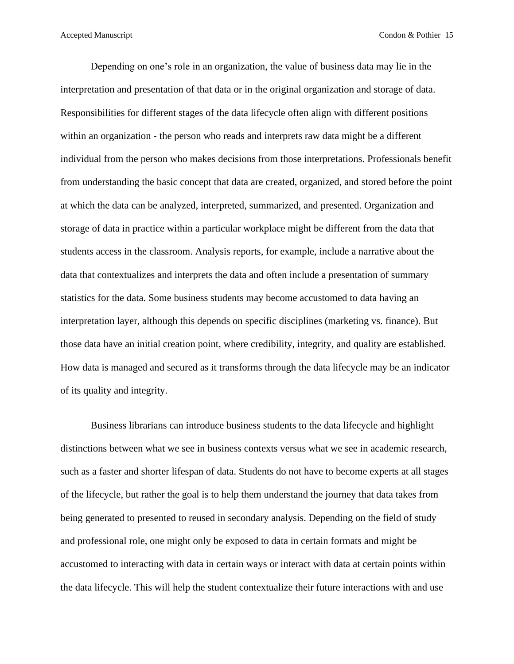Depending on one's role in an organization, the value of business data may lie in the interpretation and presentation of that data or in the original organization and storage of data. Responsibilities for different stages of the data lifecycle often align with different positions within an organization - the person who reads and interprets raw data might be a different individual from the person who makes decisions from those interpretations. Professionals benefit from understanding the basic concept that data are created, organized, and stored before the point at which the data can be analyzed, interpreted, summarized, and presented. Organization and storage of data in practice within a particular workplace might be different from the data that students access in the classroom. Analysis reports, for example, include a narrative about the data that contextualizes and interprets the data and often include a presentation of summary statistics for the data. Some business students may become accustomed to data having an interpretation layer, although this depends on specific disciplines (marketing vs. finance). But those data have an initial creation point, where credibility, integrity, and quality are established. How data is managed and secured as it transforms through the data lifecycle may be an indicator of its quality and integrity.

Business librarians can introduce business students to the data lifecycle and highlight distinctions between what we see in business contexts versus what we see in academic research, such as a faster and shorter lifespan of data. Students do not have to become experts at all stages of the lifecycle, but rather the goal is to help them understand the journey that data takes from being generated to presented to reused in secondary analysis. Depending on the field of study and professional role, one might only be exposed to data in certain formats and might be accustomed to interacting with data in certain ways or interact with data at certain points within the data lifecycle. This will help the student contextualize their future interactions with and use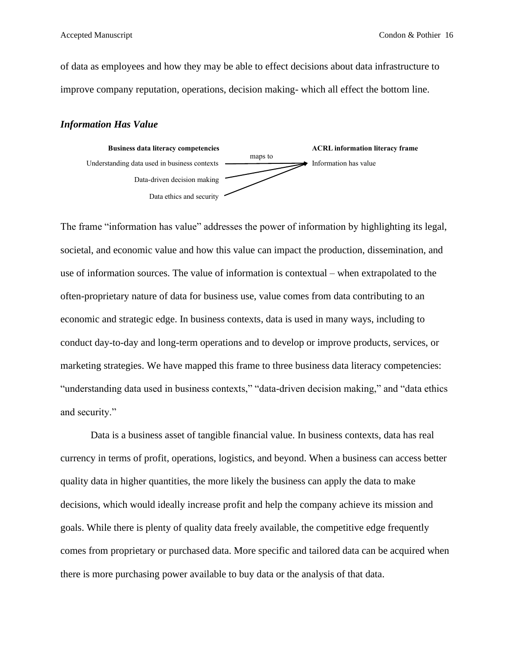of data as employees and how they may be able to effect decisions about data infrastructure to improve company reputation, operations, decision making- which all effect the bottom line.

#### *[Information Has Value](http://www.ala.org/acrl/standards/ilframework#value)*



The frame "information has value" addresses the power of information by highlighting its legal, societal, and economic value and how this value can impact the production, dissemination, and use of information sources. The value of information is contextual – when extrapolated to the often-proprietary nature of data for business use, value comes from data contributing to an economic and strategic edge. In business contexts, data is used in many ways, including to conduct day-to-day and long-term operations and to develop or improve products, services, or marketing strategies. We have mapped this frame to three business data literacy competencies: "understanding data used in business contexts," "data-driven decision making," and "data ethics and security."

Data is a business asset of tangible financial value. In business contexts, data has real currency in terms of profit, operations, logistics, and beyond. When a business can access better quality data in higher quantities, the more likely the business can apply the data to make decisions, which would ideally increase profit and help the company achieve its mission and goals. While there is plenty of quality data freely available, the competitive edge frequently comes from proprietary or purchased data. More specific and tailored data can be acquired when there is more purchasing power available to buy data or the analysis of that data.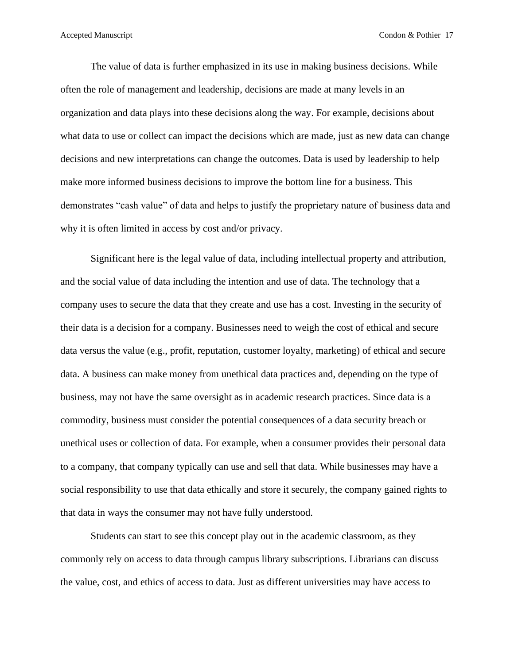The value of data is further emphasized in its use in making business decisions. While often the role of management and leadership, decisions are made at many levels in an organization and data plays into these decisions along the way. For example, decisions about what data to use or collect can impact the decisions which are made, just as new data can change decisions and new interpretations can change the outcomes. Data is used by leadership to help make more informed business decisions to improve the bottom line for a business. This demonstrates "cash value" of data and helps to justify the proprietary nature of business data and why it is often limited in access by cost and/or privacy.

Significant here is the legal value of data, including intellectual property and attribution, and the social value of data including the intention and use of data. The technology that a company uses to secure the data that they create and use has a cost. Investing in the security of their data is a decision for a company. Businesses need to weigh the cost of ethical and secure data versus the value (e.g., profit, reputation, customer loyalty, marketing) of ethical and secure data. A business can make money from unethical data practices and, depending on the type of business, may not have the same oversight as in academic research practices. Since data is a commodity, business must consider the potential consequences of a data security breach or unethical uses or collection of data. For example, when a consumer provides their personal data to a company, that company typically can use and sell that data. While businesses may have a social responsibility to use that data ethically and store it securely, the company gained rights to that data in ways the consumer may not have fully understood.

Students can start to see this concept play out in the academic classroom, as they commonly rely on access to data through campus library subscriptions. Librarians can discuss the value, cost, and ethics of access to data. Just as different universities may have access to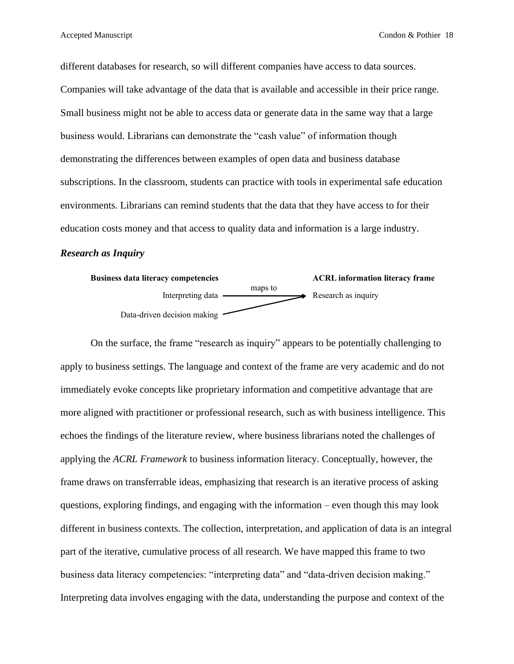different databases for research, so will different companies have access to data sources. Companies will take advantage of the data that is available and accessible in their price range. Small business might not be able to access data or generate data in the same way that a large business would. Librarians can demonstrate the "cash value" of information though demonstrating the differences between examples of open data and business database subscriptions. In the classroom, students can practice with tools in experimental safe education environments. Librarians can remind students that the data that they have access to for their education costs money and that access to quality data and information is a large industry.

#### *[Research as Inquiry](http://www.ala.org/acrl/standards/ilframework#inquiry)*



On the surface, the frame "research as inquiry" appears to be potentially challenging to apply to business settings. The language and context of the frame are very academic and do not immediately evoke concepts like proprietary information and competitive advantage that are more aligned with practitioner or professional research, such as with business intelligence. This echoes the findings of the literature review, where business librarians noted the challenges of applying the *ACRL Framework* to business information literacy. Conceptually, however, the frame draws on transferrable ideas, emphasizing that research is an iterative process of asking questions, exploring findings, and engaging with the information – even though this may look different in business contexts. The collection, interpretation, and application of data is an integral part of the iterative, cumulative process of all research. We have mapped this frame to two business data literacy competencies: "interpreting data" and "data-driven decision making." Interpreting data involves engaging with the data, understanding the purpose and context of the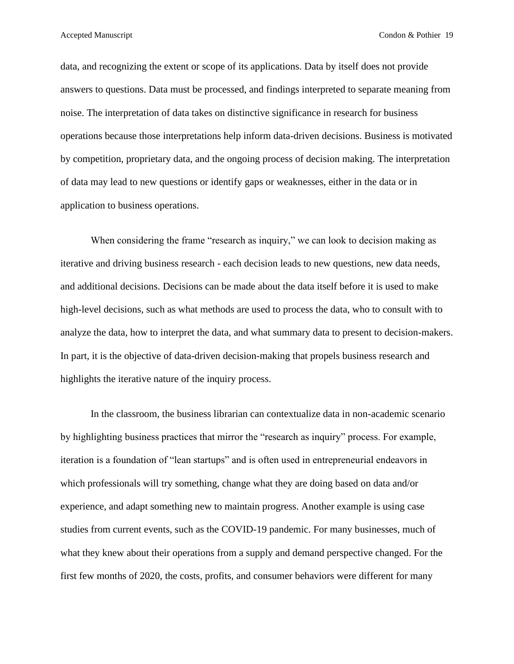data, and recognizing the extent or scope of its applications. Data by itself does not provide answers to questions. Data must be processed, and findings interpreted to separate meaning from noise. The interpretation of data takes on distinctive significance in research for business operations because those interpretations help inform data-driven decisions. Business is motivated by competition, proprietary data, and the ongoing process of decision making. The interpretation of data may lead to new questions or identify gaps or weaknesses, either in the data or in application to business operations.

When considering the frame "research as inquiry," we can look to decision making as iterative and driving business research - each decision leads to new questions, new data needs, and additional decisions. Decisions can be made about the data itself before it is used to make high-level decisions, such as what methods are used to process the data, who to consult with to analyze the data, how to interpret the data, and what summary data to present to decision-makers. In part, it is the objective of data-driven decision-making that propels business research and highlights the iterative nature of the inquiry process.

In the classroom, the business librarian can contextualize data in non-academic scenario by highlighting business practices that mirror the "research as inquiry" process. For example, iteration is a foundation of "lean startups" and is often used in entrepreneurial endeavors in which professionals will try something, change what they are doing based on data and/or experience, and adapt something new to maintain progress. Another example is using case studies from current events, such as the COVID-19 pandemic. For many businesses, much of what they knew about their operations from a supply and demand perspective changed. For the first few months of 2020, the costs, profits, and consumer behaviors were different for many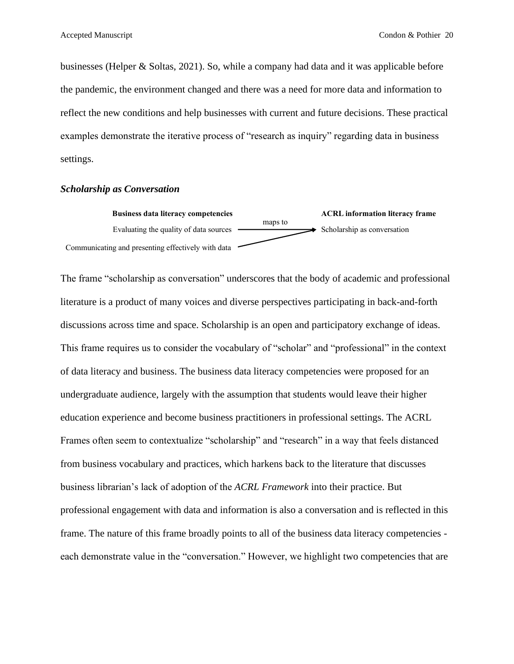businesses (Helper & Soltas, 2021). So, while a company had data and it was applicable before the pandemic, the environment changed and there was a need for more data and information to reflect the new conditions and help businesses with current and future decisions. These practical examples demonstrate the iterative process of "research as inquiry" regarding data in business settings.

#### *[Scholarship as Conversation](http://www.ala.org/acrl/standards/ilframework#conversation)*



The frame "scholarship as conversation" underscores that the body of academic and professional literature is a product of many voices and diverse perspectives participating in back-and-forth discussions across time and space. Scholarship is an open and participatory exchange of ideas. This frame requires us to consider the vocabulary of "scholar" and "professional" in the context of data literacy and business. The business data literacy competencies were proposed for an undergraduate audience, largely with the assumption that students would leave their higher education experience and become business practitioners in professional settings. The ACRL Frames often seem to contextualize "scholarship" and "research" in a way that feels distanced from business vocabulary and practices, which harkens back to the literature that discusses business librarian's lack of adoption of the *ACRL Framework* into their practice. But professional engagement with data and information is also a conversation and is reflected in this frame. The nature of this frame broadly points to all of the business data literacy competencies each demonstrate value in the "conversation." However, we highlight two competencies that are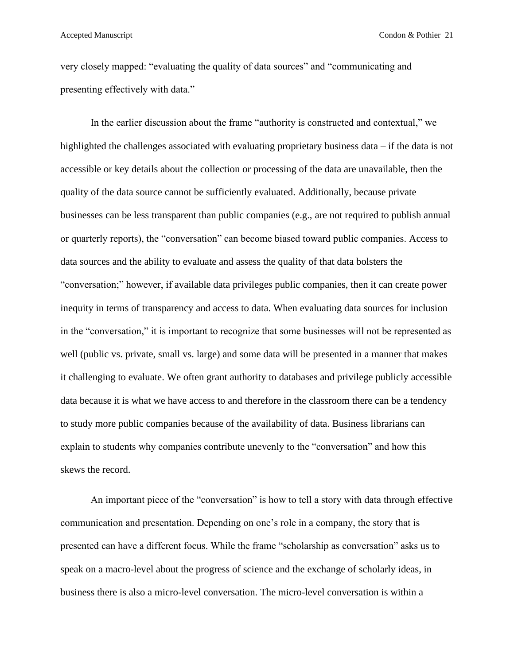very closely mapped: "evaluating the quality of data sources" and "communicating and presenting effectively with data."

In the earlier discussion about the frame "authority is constructed and contextual," we highlighted the challenges associated with evaluating proprietary business data – if the data is not accessible or key details about the collection or processing of the data are unavailable, then the quality of the data source cannot be sufficiently evaluated. Additionally, because private businesses can be less transparent than public companies (e.g., are not required to publish annual or quarterly reports), the "conversation" can become biased toward public companies. Access to data sources and the ability to evaluate and assess the quality of that data bolsters the "conversation;" however, if available data privileges public companies, then it can create power inequity in terms of transparency and access to data. When evaluating data sources for inclusion in the "conversation," it is important to recognize that some businesses will not be represented as well (public vs. private, small vs. large) and some data will be presented in a manner that makes it challenging to evaluate. We often grant authority to databases and privilege publicly accessible data because it is what we have access to and therefore in the classroom there can be a tendency to study more public companies because of the availability of data. Business librarians can explain to students why companies contribute unevenly to the "conversation" and how this skews the record.

An important piece of the "conversation" is how to tell a story with data through effective communication and presentation. Depending on one's role in a company, the story that is presented can have a different focus. While the frame "scholarship as conversation" asks us to speak on a macro-level about the progress of science and the exchange of scholarly ideas, in business there is also a micro-level conversation. The micro-level conversation is within a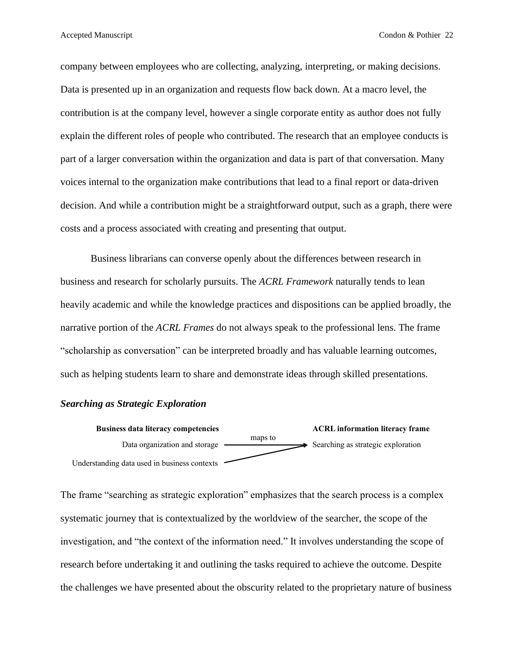company between employees who are collecting, analyzing, interpreting, or making decisions. Data is presented up in an organization and requests flow back down. At a macro level, the contribution is at the company level, however a single corporate entity as author does not fully explain the different roles of people who contributed. The research that an employee conducts is part of a larger conversation within the organization and data is part of that conversation. Many voices internal to the organization make contributions that lead to a final report or data-driven decision. And while a contribution might be a straightforward output, such as a graph, there were costs and a process associated with creating and presenting that output.

Business librarians can converse openly about the differences between research in business and research for scholarly pursuits. The *ACRL Framework* naturally tends to lean heavily academic and while the knowledge practices and dispositions can be applied broadly, the narrative portion of the *ACRL Frames* do not always speak to the professional lens. The frame "scholarship as conversation" can be interpreted broadly and has valuable learning outcomes, such as helping students learn to share and demonstrate ideas through skilled presentations.

#### *[Searching as Strategic Exploration](http://www.ala.org/acrl/standards/ilframework#exploration)*



The frame "searching as strategic exploration" emphasizes that the search process is a complex systematic journey that is contextualized by the worldview of the searcher, the scope of the investigation, and "the context of the information need." It involves understanding the scope of research before undertaking it and outlining the tasks required to achieve the outcome. Despite the challenges we have presented about the obscurity related to the proprietary nature of business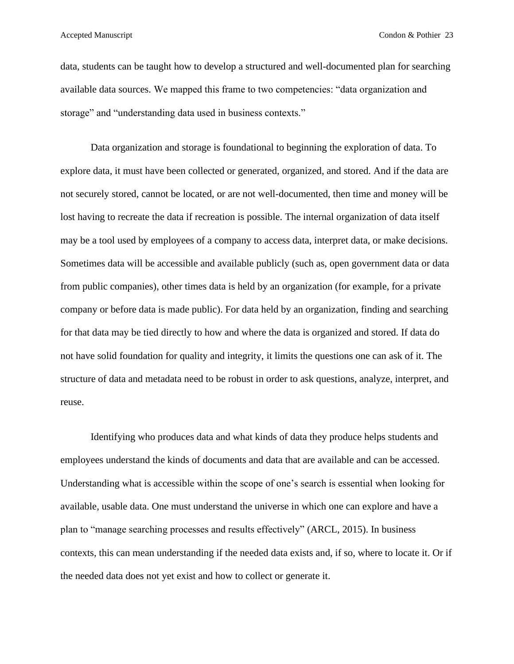data, students can be taught how to develop a structured and well-documented plan for searching available data sources. We mapped this frame to two competencies: "data organization and storage" and "understanding data used in business contexts."

Data organization and storage is foundational to beginning the exploration of data. To explore data, it must have been collected or generated, organized, and stored. And if the data are not securely stored, cannot be located, or are not well-documented, then time and money will be lost having to recreate the data if recreation is possible. The internal organization of data itself may be a tool used by employees of a company to access data, interpret data, or make decisions. Sometimes data will be accessible and available publicly (such as, open government data or data from public companies), other times data is held by an organization (for example, for a private company or before data is made public). For data held by an organization, finding and searching for that data may be tied directly to how and where the data is organized and stored. If data do not have solid foundation for quality and integrity, it limits the questions one can ask of it. The structure of data and metadata need to be robust in order to ask questions, analyze, interpret, and reuse.

Identifying who produces data and what kinds of data they produce helps students and employees understand the kinds of documents and data that are available and can be accessed. Understanding what is accessible within the scope of one's search is essential when looking for available, usable data. One must understand the universe in which one can explore and have a plan to "manage searching processes and results effectively" (ARCL, 2015). In business contexts, this can mean understanding if the needed data exists and, if so, where to locate it. Or if the needed data does not yet exist and how to collect or generate it.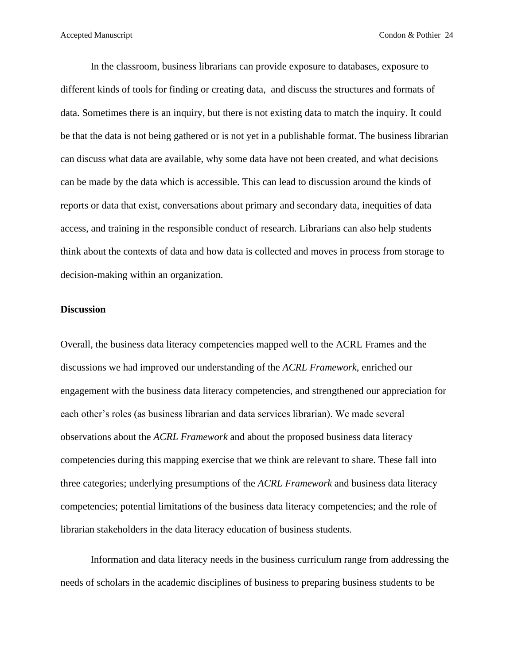In the classroom, business librarians can provide exposure to databases, exposure to different kinds of tools for finding or creating data, and discuss the structures and formats of data. Sometimes there is an inquiry, but there is not existing data to match the inquiry. It could be that the data is not being gathered or is not yet in a publishable format. The business librarian can discuss what data are available, why some data have not been created, and what decisions can be made by the data which is accessible. This can lead to discussion around the kinds of reports or data that exist, conversations about primary and secondary data, inequities of data access, and training in the responsible conduct of research. Librarians can also help students think about the contexts of data and how data is collected and moves in process from storage to decision-making within an organization.

#### **Discussion**

Overall, the business data literacy competencies mapped well to the ACRL Frames and the discussions we had improved our understanding of the *ACRL Framework*, enriched our engagement with the business data literacy competencies, and strengthened our appreciation for each other's roles (as business librarian and data services librarian). We made several observations about the *ACRL Framework* and about the proposed business data literacy competencies during this mapping exercise that we think are relevant to share. These fall into three categories; underlying presumptions of the *ACRL Framework* and business data literacy competencies; potential limitations of the business data literacy competencies; and the role of librarian stakeholders in the data literacy education of business students.

Information and data literacy needs in the business curriculum range from addressing the needs of scholars in the academic disciplines of business to preparing business students to be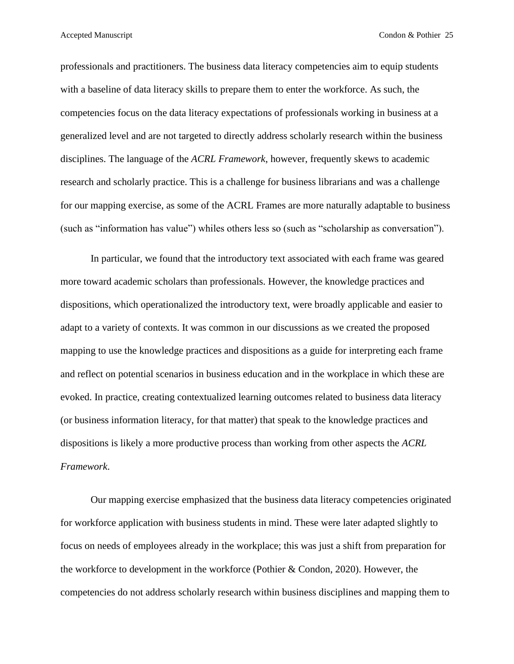professionals and practitioners. The business data literacy competencies aim to equip students with a baseline of data literacy skills to prepare them to enter the workforce. As such, the competencies focus on the data literacy expectations of professionals working in business at a generalized level and are not targeted to directly address scholarly research within the business disciplines. The language of the *ACRL Framework*, however, frequently skews to academic research and scholarly practice. This is a challenge for business librarians and was a challenge for our mapping exercise, as some of the ACRL Frames are more naturally adaptable to business (such as "information has value") whiles others less so (such as "scholarship as conversation").

In particular, we found that the introductory text associated with each frame was geared more toward academic scholars than professionals. However, the knowledge practices and dispositions, which operationalized the introductory text, were broadly applicable and easier to adapt to a variety of contexts. It was common in our discussions as we created the proposed mapping to use the knowledge practices and dispositions as a guide for interpreting each frame and reflect on potential scenarios in business education and in the workplace in which these are evoked. In practice, creating contextualized learning outcomes related to business data literacy (or business information literacy, for that matter) that speak to the knowledge practices and dispositions is likely a more productive process than working from other aspects the *ACRL Framework*.

Our mapping exercise emphasized that the business data literacy competencies originated for workforce application with business students in mind. These were later adapted slightly to focus on needs of employees already in the workplace; this was just a shift from preparation for the workforce to development in the workforce (Pothier & Condon, 2020). However, the competencies do not address scholarly research within business disciplines and mapping them to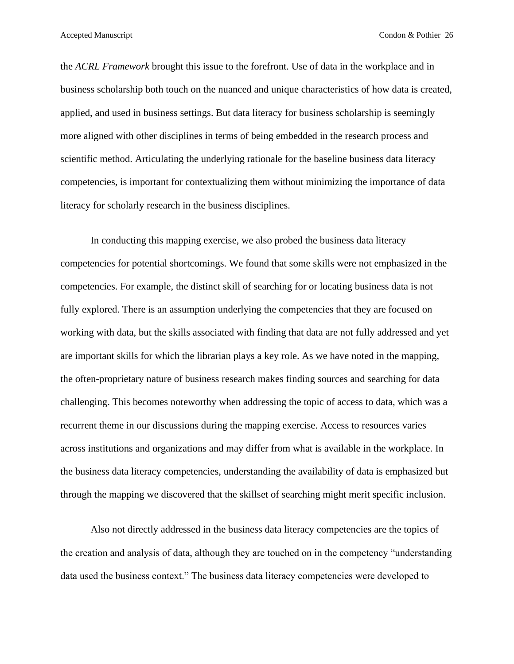the *ACRL Framework* brought this issue to the forefront. Use of data in the workplace and in business scholarship both touch on the nuanced and unique characteristics of how data is created, applied, and used in business settings. But data literacy for business scholarship is seemingly more aligned with other disciplines in terms of being embedded in the research process and scientific method. Articulating the underlying rationale for the baseline business data literacy competencies, is important for contextualizing them without minimizing the importance of data literacy for scholarly research in the business disciplines.

In conducting this mapping exercise, we also probed the business data literacy competencies for potential shortcomings. We found that some skills were not emphasized in the competencies. For example, the distinct skill of searching for or locating business data is not fully explored. There is an assumption underlying the competencies that they are focused on working with data, but the skills associated with finding that data are not fully addressed and yet are important skills for which the librarian plays a key role. As we have noted in the mapping, the often-proprietary nature of business research makes finding sources and searching for data challenging. This becomes noteworthy when addressing the topic of access to data, which was a recurrent theme in our discussions during the mapping exercise. Access to resources varies across institutions and organizations and may differ from what is available in the workplace. In the business data literacy competencies, understanding the availability of data is emphasized but through the mapping we discovered that the skillset of searching might merit specific inclusion.

Also not directly addressed in the business data literacy competencies are the topics of the creation and analysis of data, although they are touched on in the competency "understanding data used the business context." The business data literacy competencies were developed to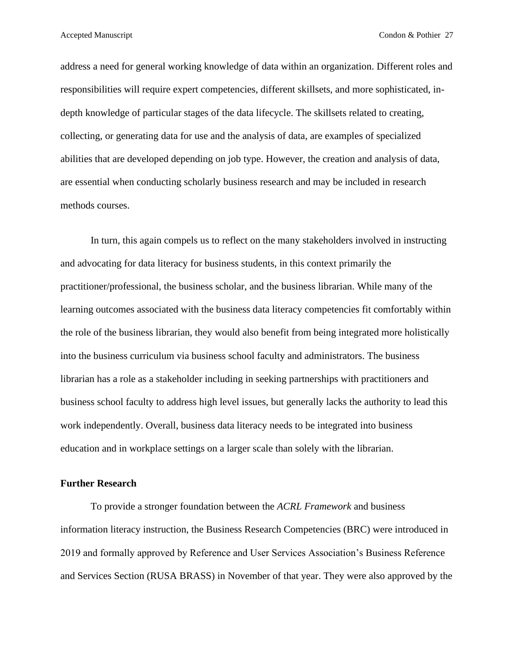address a need for general working knowledge of data within an organization. Different roles and responsibilities will require expert competencies, different skillsets, and more sophisticated, indepth knowledge of particular stages of the data lifecycle. The skillsets related to creating, collecting, or generating data for use and the analysis of data, are examples of specialized abilities that are developed depending on job type. However, the creation and analysis of data, are essential when conducting scholarly business research and may be included in research methods courses.

In turn, this again compels us to reflect on the many stakeholders involved in instructing and advocating for data literacy for business students, in this context primarily the practitioner/professional, the business scholar, and the business librarian. While many of the learning outcomes associated with the business data literacy competencies fit comfortably within the role of the business librarian, they would also benefit from being integrated more holistically into the business curriculum via business school faculty and administrators. The business librarian has a role as a stakeholder including in seeking partnerships with practitioners and business school faculty to address high level issues, but generally lacks the authority to lead this work independently. Overall, business data literacy needs to be integrated into business education and in workplace settings on a larger scale than solely with the librarian.

#### **Further Research**

To provide a stronger foundation between the *ACRL Framework* and business information literacy instruction, the Business Research Competencies (BRC) were introduced in 2019 and formally approved by Reference and User Services Association's Business Reference and Services Section (RUSA BRASS) in November of that year. They were also approved by the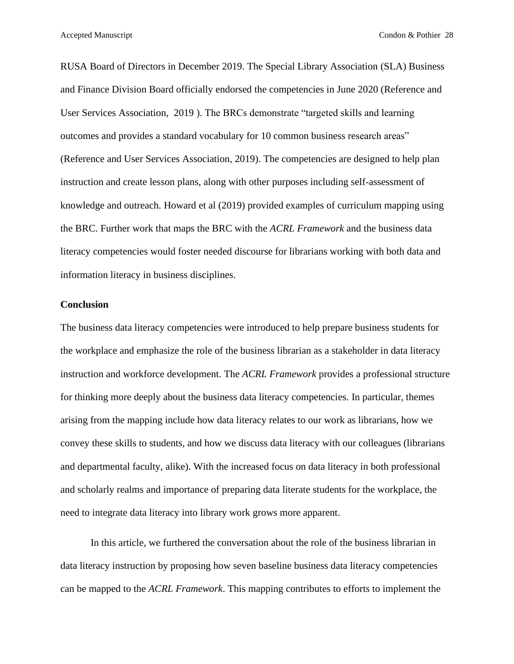RUSA Board of Directors in December 2019. The Special Library Association (SLA) Business and Finance Division Board officially endorsed the competencies in June 2020 (Reference and User Services Association, [2019](http://www.ala.org/rusa/guidelines/business-research-competencies) ). The BRCs demonstrate "targeted skills and learning outcomes and provides a standard vocabulary for 10 common business research areas" (Reference and User Services Association, 2019). The competencies are designed to help plan instruction and create lesson plans, along with other purposes including self-assessment of knowledge and outreach. Howard et al (2019) provided examples of curriculum mapping using the BRC. Further work that maps the BRC with the *ACRL Framework* and the business data literacy competencies would foster needed discourse for librarians working with both data and information literacy in business disciplines.

#### **Conclusion**

The business data literacy competencies were introduced to help prepare business students for the workplace and emphasize the role of the business librarian as a stakeholder in data literacy instruction and workforce development. The *ACRL Framework* provides a professional structure for thinking more deeply about the business data literacy competencies. In particular, themes arising from the mapping include how data literacy relates to our work as librarians, how we convey these skills to students, and how we discuss data literacy with our colleagues (librarians and departmental faculty, alike). With the increased focus on data literacy in both professional and scholarly realms and importance of preparing data literate students for the workplace, the need to integrate data literacy into library work grows more apparent.

In this article, we furthered the conversation about the role of the business librarian in data literacy instruction by proposing how seven baseline business data literacy competencies can be mapped to the *ACRL Framework*. This mapping contributes to efforts to implement the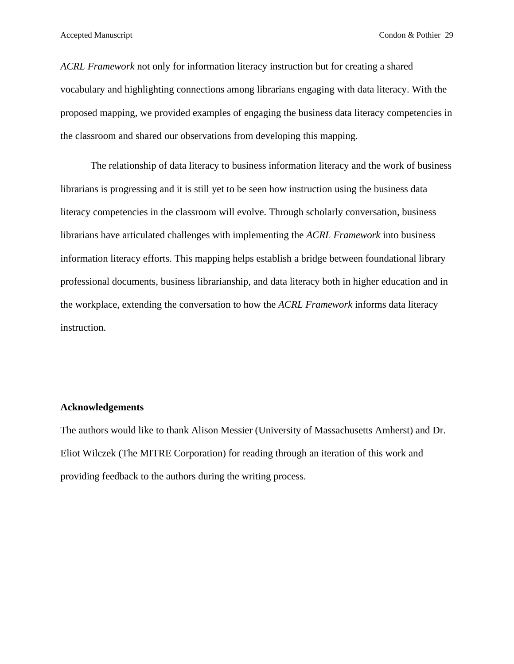*ACRL Framework* not only for information literacy instruction but for creating a shared vocabulary and highlighting connections among librarians engaging with data literacy. With the proposed mapping, we provided examples of engaging the business data literacy competencies in the classroom and shared our observations from developing this mapping.

The relationship of data literacy to business information literacy and the work of business librarians is progressing and it is still yet to be seen how instruction using the business data literacy competencies in the classroom will evolve. Through scholarly conversation, business librarians have articulated challenges with implementing the *ACRL Framework* into business information literacy efforts. This mapping helps establish a bridge between foundational library professional documents, business librarianship, and data literacy both in higher education and in the workplace, extending the conversation to how the *ACRL Framework* informs data literacy instruction.

#### **Acknowledgements**

The authors would like to thank Alison Messier (University of Massachusetts Amherst) and Dr. Eliot Wilczek (The MITRE Corporation) for reading through an iteration of this work and providing feedback to the authors during the writing process.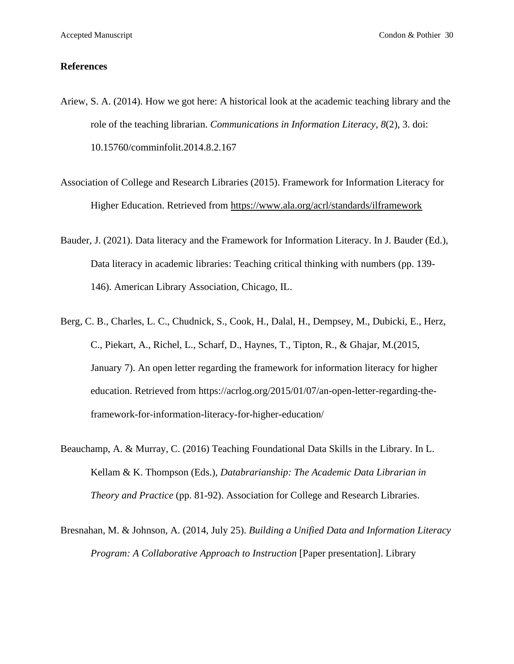#### **References**

- Ariew, S. A. (2014). How we got here: A historical look at the academic teaching library and the role of the teaching librarian. *Communications in Information Literacy*, *8*(2), 3. doi: 10.15760/comminfolit.2014.8.2.167
- Association of College and Research Libraries (2015). Framework for Information Literacy for Higher Education. Retrieved from<https://www.ala.org/acrl/standards/ilframework>
- Bauder, J. (2021). Data literacy and the Framework for Information Literacy. In J. Bauder (Ed.), Data literacy in academic libraries: Teaching critical thinking with numbers (pp. 139- 146). American Library Association, Chicago, IL.
- Berg, C. B., Charles, L. C., Chudnick, S., Cook, H., Dalal, H., Dempsey, M., Dubicki, E., Herz, C., Piekart, A., Richel, L., Scharf, D., Haynes, T., Tipton, R., & Ghajar, M.(2015, January 7). An open letter regarding the framework for information literacy for higher education. Retrieved from [https://acrlog.org/2015/01/07/an-open-letter-regarding-the](https://acrlog.org/2015/01/07/an-open-letter-regarding-the-framework-for-information-literacy-for-higher-education/)[framework-for-information-literacy-for-higher-education/](https://acrlog.org/2015/01/07/an-open-letter-regarding-the-framework-for-information-literacy-for-higher-education/)
- Beauchamp, A. & Murray, C. (2016) Teaching Foundational Data Skills in the Library. In L. Kellam & K. Thompson (Eds.), *Databrarianship: The Academic Data Librarian in Theory and Practice* (pp. 81-92). Association for College and Research Libraries.
- Bresnahan, M. & Johnson, A. (2014, July 25). *Building a Unified Data and Information Literacy Program: A Collaborative Approach to Instruction* [Paper presentation]. Library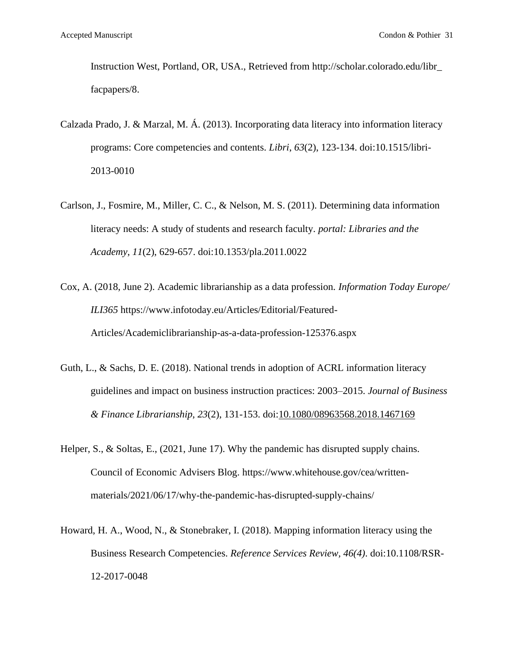Instruction West, Portland, OR, USA., Retrieved from [http://scholar.colorado.edu/libr\\_](http://scholar.colorado.edu/libr_%20facpapers/8)  [facpapers/8.](http://scholar.colorado.edu/libr_%20facpapers/8)

- Calzada Prado, J. & Marzal, M. Á. (2013). Incorporating data literacy into information literacy programs: Core competencies and contents. *Libri*, *63*(2), 123-134. doi:10.1515/libri-2013-0010
- Carlson, J., Fosmire, M., Miller, C. C., & Nelson, M. S. (2011). Determining data information literacy needs: A study of students and research faculty. *portal: Libraries and the Academy*, *11*(2), 629-657. doi:10.1353/pla.2011.0022
- Cox, A. (2018, June 2). Academic librarianship as a data profession*. Information Today Europe/ ILI365* [https://www.infotoday.eu/Articles/Editorial/Featured-](https://www.infotoday.eu/Articles/Editorial/Featured-Articles/Academiclibrarianship-as-a-data-profession-125376.aspx)[Articles/Academiclibrarianship-as-a-data-profession-125376.aspx](https://www.infotoday.eu/Articles/Editorial/Featured-Articles/Academiclibrarianship-as-a-data-profession-125376.aspx)
- Guth, L., & Sachs, D. E. (2018). National trends in adoption of ACRL information literacy guidelines and impact on business instruction practices: 2003–2015. *Journal of Business & Finance Librarianship*, *23*(2), 131-153. doi[:10.1080/08963568.2018.1467169](https://doi.org/10.1080/08963568.2018.1467169)
- Helper, S., & Soltas, E., (2021, June 17). Why the pandemic has disrupted supply chains. Council of Economic Advisers Blog. https://www.whitehouse.gov/cea/writtenmaterials/2021/06/17/why-the-pandemic-has-disrupted-supply-chains/
- Howard, H. A., Wood, N., & Stonebraker, I. (2018). Mapping information literacy using the Business Research Competencies. *Reference Services Review, 46(4)*. doi:10.1108/RSR-12-2017-0048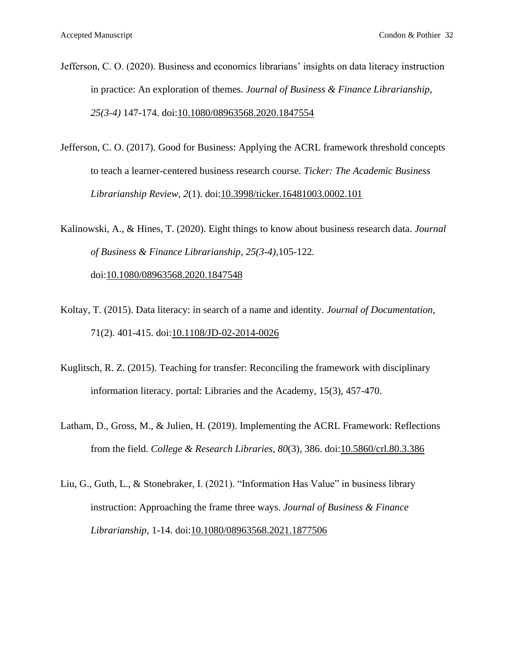Jefferson, C. O. (2020). Business and economics librarians' insights on data literacy instruction in practice: An exploration of themes. *Journal of Business & Finance Librarianship*, *25(3-4)* 147-174. doi[:10.1080/08963568.2020.1847554](https://doi.org/10.1080/08963568.2020.1847554)

Jefferson, C. O. (2017). Good for Business: Applying the ACRL framework threshold concepts to teach a learner-centered business research course. *Ticker: The Academic Business Librarianship Review*, *2*(1). doi[:10.3998/ticker.16481003.0002.101](https://doi.org/10.3998/ticker.16481003.0002.101)

Kalinowski, A., & Hines, T. (2020). Eight things to know about business research data. *Journal of Business & Finance Librarianship*, *25(3-4),*105-122. doi[:10.1080/08963568.2020.1847548](https://doi.org/10.1080/08963568.2020.1847548)

- Koltay, T. (2015). Data literacy: in search of a name and identity. *Journal of Documentation,*  71(2). 401-415. doi[:10.1108/JD-02-2014-0026](https://doi.org/10.1108/JD-02-2014-0026)
- Kuglitsch, R. Z. (2015). Teaching for transfer: Reconciling the framework with disciplinary information literacy. portal: Libraries and the Academy, 15(3), 457-470.
- Latham, D., Gross, M., & Julien, H. (2019). Implementing the ACRL Framework: Reflections from the field. *College & Research Libraries*, *80*(3), 386. doi[:10.5860/crl.80.3.386](https://doi.org/10.5860/crl.80.3.386)
- Liu, G., Guth, L., & Stonebraker, I. (2021). "Information Has Value" in business library instruction: Approaching the frame three ways. *Journal of Business & Finance Librarianship*, 1-14. doi[:10.1080/08963568.2021.1877506](https://doi.org/10.1080/08963568.2021.1877506)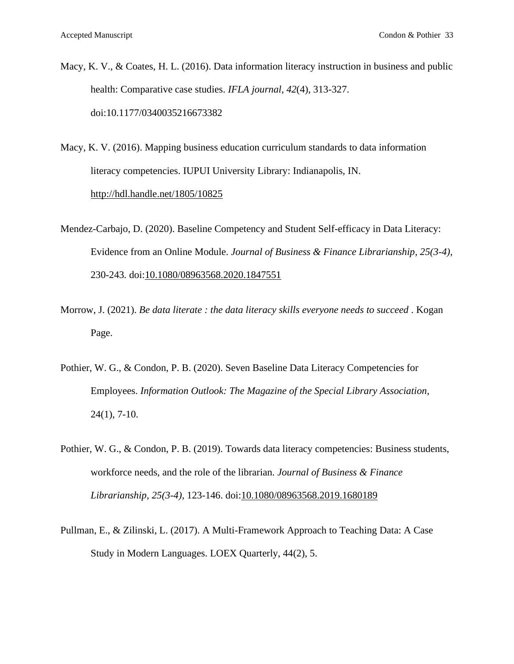- Macy, K. V., & Coates, H. L. (2016). Data information literacy instruction in business and public health: Comparative case studies. *IFLA journal*, *42*(4), 313-327. doi:10.1177/0340035216673382
- Macy, K. V. (2016). Mapping business education curriculum standards to data information literacy competencies. IUPUI University Library: Indianapolis, IN. <http://hdl.handle.net/1805/10825>
- Mendez-Carbajo, D. (2020). Baseline Competency and Student Self-efficacy in Data Literacy: Evidence from an Online Module. *Journal of Business & Finance Librarianship*, *25(3-4),*  230-243*.* doi[:10.1080/08963568.2020.1847551](https://doi.org/10.1080/08963568.2020.1847551)
- Morrow, J. (2021). *Be data literate : the data literacy skills everyone needs to succeed* . Kogan Page.
- Pothier, W. G., & Condon, P. B. (2020). Seven Baseline Data Literacy Competencies for Employees. *Information Outlook: The Magazine of the Special Library Association*, 24(1), 7-10.
- Pothier, W. G., & Condon, P. B. (2019). Towards data literacy competencies: Business students, workforce needs, and the role of the librarian. *Journal of Business & Finance Librarianship*, *25(3-4),* 123-146. doi[:10.1080/08963568.2019.1680189](https://doi.org/10.1080/08963568.2019.1680189)
- Pullman, E., & Zilinski, L. (2017). A Multi-Framework Approach to Teaching Data: A Case Study in Modern Languages. LOEX Quarterly, 44(2), 5.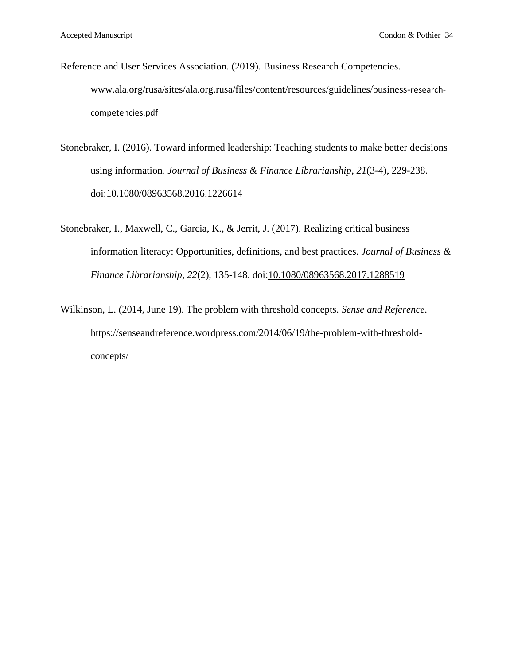- Reference and User Services Association. (2019). Business Research Competencies. www.ala.org/rusa/sites/ala.org.rusa/files/content/resources/guidelines/business-researchcompetencies.pdf
- Stonebraker, I. (2016). Toward informed leadership: Teaching students to make better decisions using information. *Journal of Business & Finance Librarianship*, *21*(3-4), 229-238. doi[:10.1080/08963568.2016.1226614](https://doi.org/10.1080/08963568.2016.1226614)
- Stonebraker, I., Maxwell, C., Garcia, K., & Jerrit, J. (2017). Realizing critical business information literacy: Opportunities, definitions, and best practices. *Journal of Business & Finance Librarianship*, *22*(2), 135-148. doi[:10.1080/08963568.2017.1288519](https://doi.org/10.1080/08963568.2017.1288519)
- Wilkinson, L. (2014, June 19). The problem with threshold concepts. *Sense and Reference.*  https://senseandreference.wordpress.com/2014/06/19/the-problem-with-thresholdconcepts/